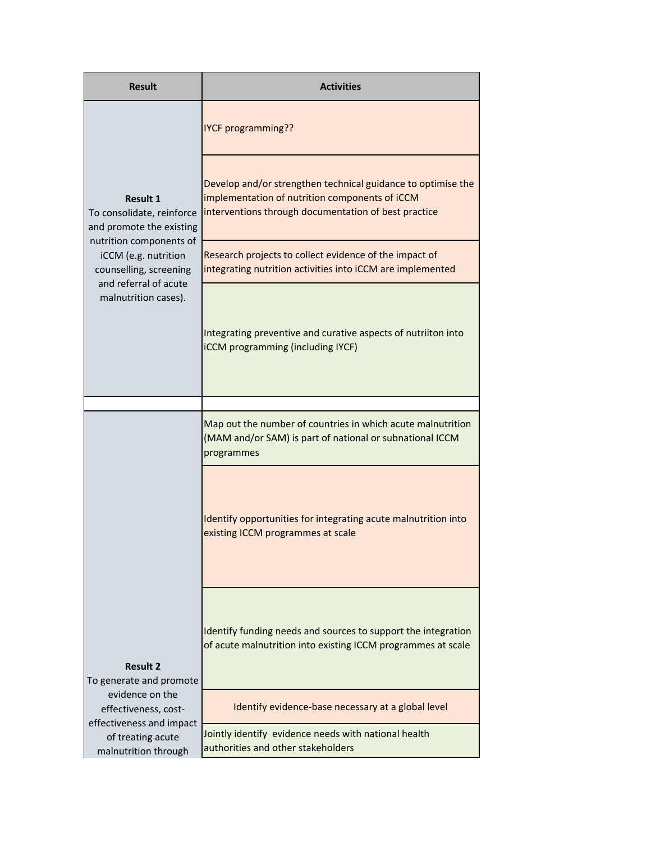| <b>Result</b>                                                                                                                                                                                          | <b>Activities</b>                                                                                                                                                      |  |
|--------------------------------------------------------------------------------------------------------------------------------------------------------------------------------------------------------|------------------------------------------------------------------------------------------------------------------------------------------------------------------------|--|
|                                                                                                                                                                                                        | <b>IYCF programming??</b>                                                                                                                                              |  |
| <b>Result 1</b><br>To consolidate, reinforce<br>and promote the existing<br>nutrition components of<br>iCCM (e.g. nutrition<br>counselling, screening<br>and referral of acute<br>malnutrition cases). | Develop and/or strengthen technical guidance to optimise the<br>implementation of nutrition components of iCCM<br>interventions through documentation of best practice |  |
|                                                                                                                                                                                                        | Research projects to collect evidence of the impact of<br>integrating nutrition activities into iCCM are implemented                                                   |  |
|                                                                                                                                                                                                        | Integrating preventive and curative aspects of nutriiton into<br><b>iCCM</b> programming (including IYCF)                                                              |  |
|                                                                                                                                                                                                        |                                                                                                                                                                        |  |
|                                                                                                                                                                                                        | Map out the number of countries in which acute malnutrition<br>(MAM and/or SAM) is part of national or subnational ICCM<br>programmes                                  |  |
| <b>Result 2</b><br>To generate and promote                                                                                                                                                             | Identify opportunities for integrating acute malnutrition into<br>existing ICCM programmes at scale                                                                    |  |
|                                                                                                                                                                                                        | Identify funding needs and sources to support the integration<br>of acute malnutrition into existing ICCM programmes at scale                                          |  |
| evidence on the<br>effectiveness, cost-                                                                                                                                                                | Identify evidence-base necessary at a global level                                                                                                                     |  |
| effectiveness and impact<br>of treating acute<br>malnutrition through                                                                                                                                  | Jointly identify evidence needs with national health<br>authorities and other stakeholders                                                                             |  |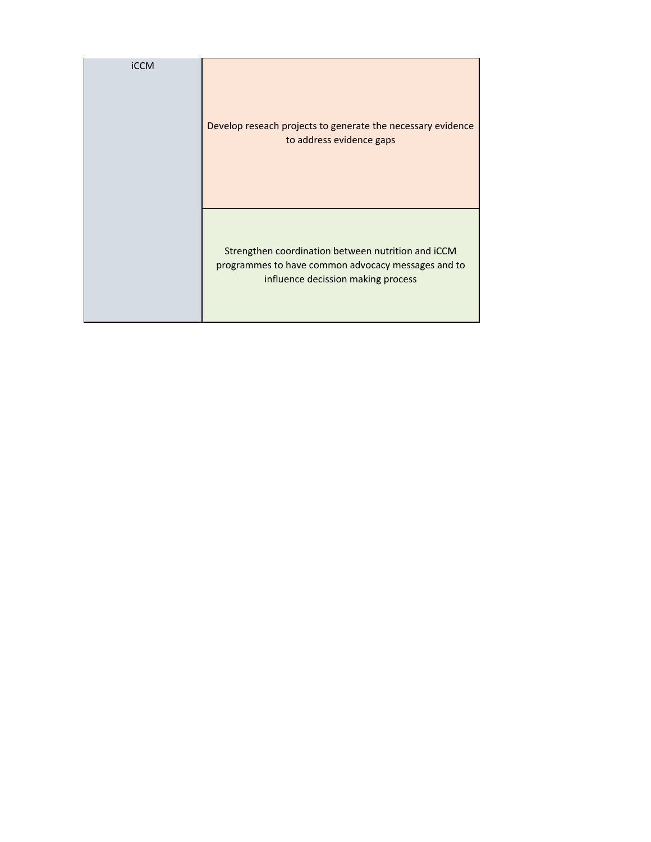| <b>iCCM</b> | Develop reseach projects to generate the necessary evidence<br>to address evidence gaps                                                        |
|-------------|------------------------------------------------------------------------------------------------------------------------------------------------|
|             | Strengthen coordination between nutrition and iCCM<br>programmes to have common advocacy messages and to<br>influence decission making process |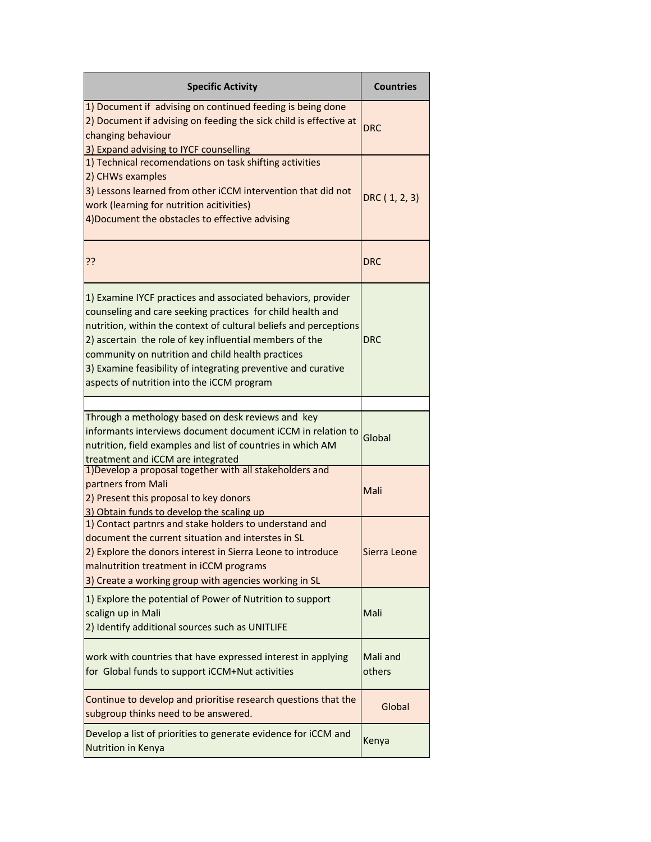| <b>Specific Activity</b>                                                                                                                                                                                                                                                                                                                                                                                                       | <b>Countries</b>   |
|--------------------------------------------------------------------------------------------------------------------------------------------------------------------------------------------------------------------------------------------------------------------------------------------------------------------------------------------------------------------------------------------------------------------------------|--------------------|
| 1) Document if advising on continued feeding is being done<br>2) Document if advising on feeding the sick child is effective at<br>changing behaviour<br>3) Expand advising to IYCF counselling                                                                                                                                                                                                                                | DRC                |
| 1) Technical recomendations on task shifting activities<br>2) CHWs examples<br>3) Lessons learned from other iCCM intervention that did not<br>work (learning for nutrition acitivities)<br>4) Document the obstacles to effective advising                                                                                                                                                                                    | DRC (1, 2, 3)      |
| ??                                                                                                                                                                                                                                                                                                                                                                                                                             | DRC                |
| 1) Examine IYCF practices and associated behaviors, provider<br>counseling and care seeking practices for child health and<br>nutrition, within the context of cultural beliefs and perceptions<br>2) ascertain the role of key influential members of the<br>community on nutrition and child health practices<br>3) Examine feasibility of integrating preventive and curative<br>aspects of nutrition into the iCCM program | DRC                |
|                                                                                                                                                                                                                                                                                                                                                                                                                                |                    |
| Through a methology based on desk reviews and key<br>informants interviews document document iCCM in relation to<br>nutrition, field examples and list of countries in which AM<br>treatment and iCCM are integrated                                                                                                                                                                                                           | Global             |
| 1) Develop a proposal together with all stakeholders and<br>partners from Mali<br>2) Present this proposal to key donors<br>3) Obtain funds to develop the scaling up                                                                                                                                                                                                                                                          | Mali               |
| 1) Contact partnrs and stake holders to understand and<br>document the current situation and interstes in SL<br>2) Explore the donors interest in Sierra Leone to introduce<br>malnutrition treatment in iCCM programs<br>3) Create a working group with agencies working in SL                                                                                                                                                | Sierra Leone       |
| 1) Explore the potential of Power of Nutrition to support<br>scalign up in Mali<br>2) Identify additional sources such as UNITLIFE                                                                                                                                                                                                                                                                                             | Mali               |
| work with countries that have expressed interest in applying<br>for Global funds to support iCCM+Nut activities                                                                                                                                                                                                                                                                                                                | Mali and<br>others |
| Continue to develop and prioritise research questions that the<br>subgroup thinks need to be answered.                                                                                                                                                                                                                                                                                                                         | Global             |
| Develop a list of priorities to generate evidence for iCCM and<br>Nutrition in Kenya                                                                                                                                                                                                                                                                                                                                           | Kenya              |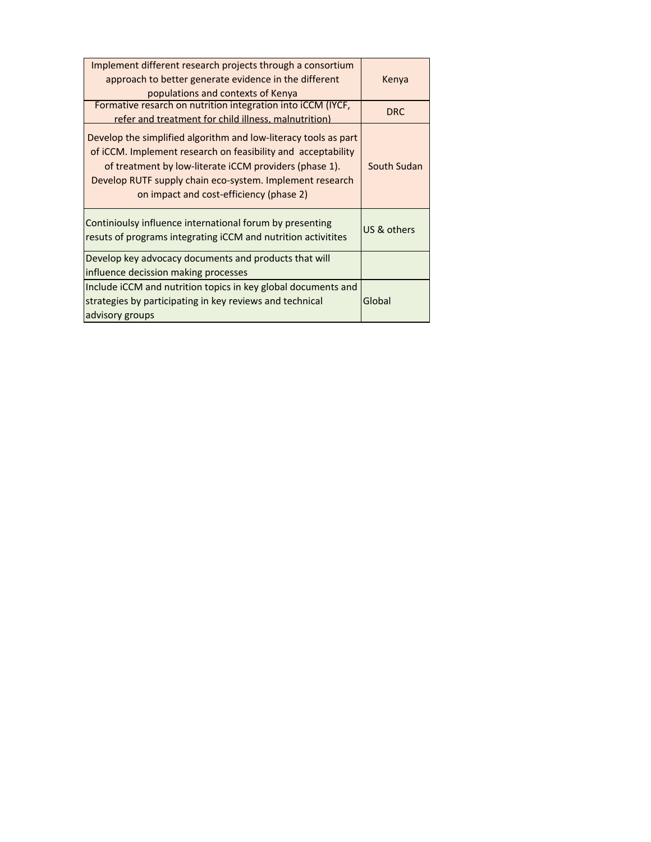| Implement different research projects through a consortium<br>approach to better generate evidence in the different<br>populations and contexts of Kenya                                                                                                                                         | Kenya       |
|--------------------------------------------------------------------------------------------------------------------------------------------------------------------------------------------------------------------------------------------------------------------------------------------------|-------------|
| Formative resarch on nutrition integration into iCCM (IYCF,<br>refer and treatment for child illness, malnutrition)                                                                                                                                                                              | <b>DRC</b>  |
| Develop the simplified algorithm and low-literacy tools as part<br>of iCCM. Implement research on feasibility and acceptability<br>of treatment by low-literate iCCM providers (phase 1).<br>Develop RUTF supply chain eco-system. Implement research<br>on impact and cost-efficiency (phase 2) | South Sudan |
| Continioulsy influence international forum by presenting<br>resuts of programs integrating iCCM and nutrition activitites                                                                                                                                                                        | US & others |
| Develop key advocacy documents and products that will<br>influence decission making processes                                                                                                                                                                                                    |             |
| Include iCCM and nutrition topics in key global documents and<br>strategies by participating in key reviews and technical<br>advisory groups                                                                                                                                                     | Global      |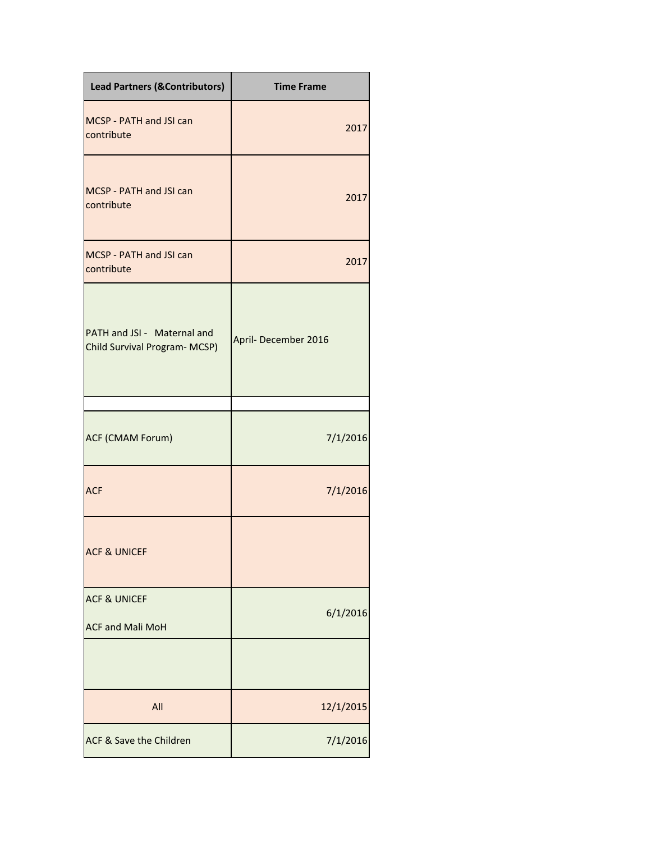| <b>Lead Partners (&amp;Contributors)</b>                    | <b>Time Frame</b>   |
|-------------------------------------------------------------|---------------------|
| MCSP - PATH and JSI can<br>contribute                       | 2017                |
| MCSP - PATH and JSI can<br>contribute                       | 2017                |
| MCSP - PATH and JSI can<br>contribute                       | 2017                |
| PATH and JSI - Maternal and<br>Child Survival Program-MCSP) | April-December 2016 |
| ACF (CMAM Forum)                                            | 7/1/2016            |
| <b>ACF</b>                                                  | 7/1/2016            |
| <b>ACF &amp; UNICEF</b>                                     |                     |
| <b>ACF &amp; UNICEF</b><br><b>ACF and Mali MoH</b>          | 6/1/2016            |
|                                                             |                     |
| All                                                         | 12/1/2015           |
| ACF & Save the Children                                     | 7/1/2016            |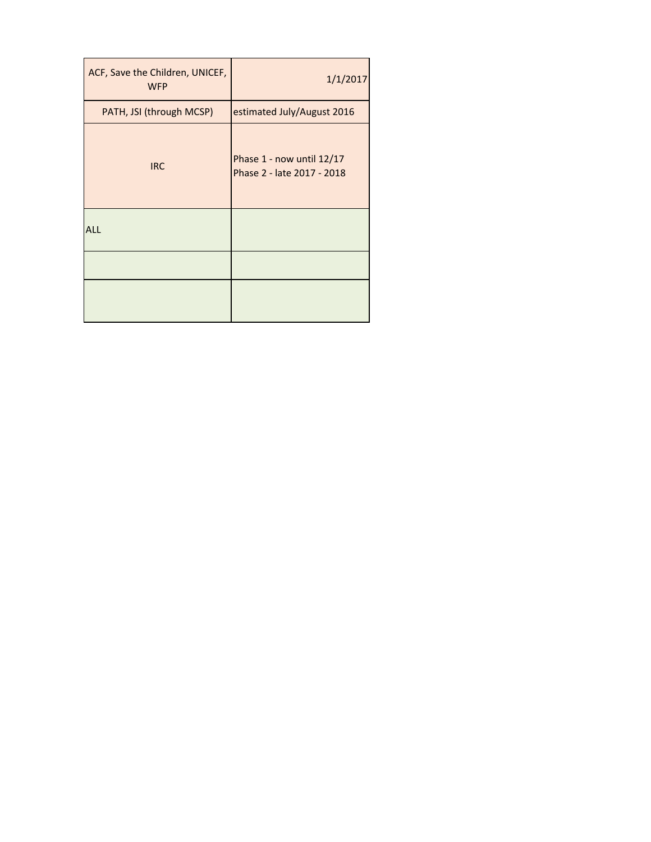| ACF, Save the Children, UNICEF,<br><b>WFP</b> | 1/1/2017                                                |
|-----------------------------------------------|---------------------------------------------------------|
| PATH, JSI (through MCSP)                      | estimated July/August 2016                              |
| <b>IRC</b>                                    | Phase 1 - now until 12/17<br>Phase 2 - late 2017 - 2018 |
| ALL                                           |                                                         |
|                                               |                                                         |
|                                               |                                                         |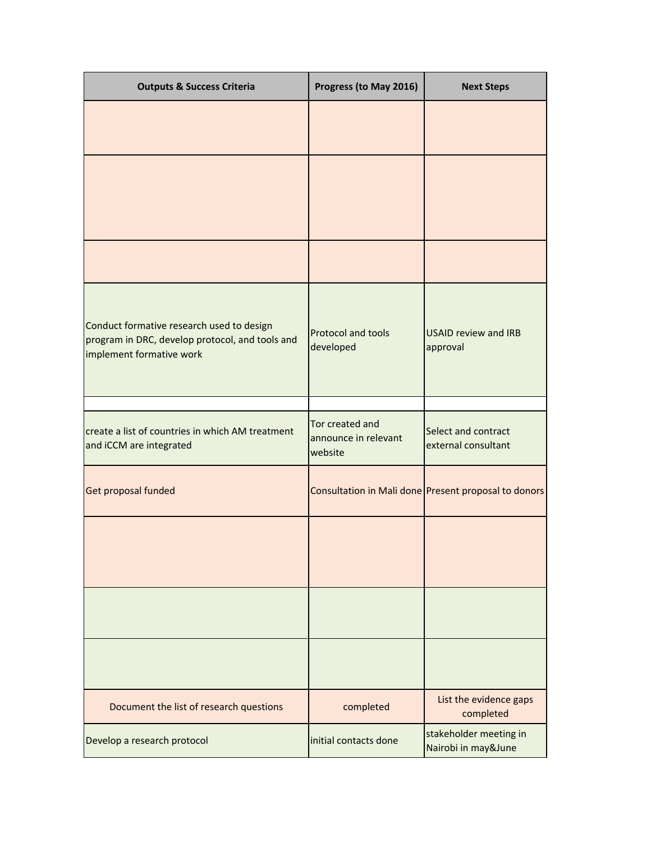| <b>Outputs &amp; Success Criteria</b>                                                                                    | Progress (to May 2016)                             | <b>Next Steps</b>                                    |
|--------------------------------------------------------------------------------------------------------------------------|----------------------------------------------------|------------------------------------------------------|
|                                                                                                                          |                                                    |                                                      |
|                                                                                                                          |                                                    |                                                      |
|                                                                                                                          |                                                    |                                                      |
| Conduct formative research used to design<br>program in DRC, develop protocol, and tools and<br>implement formative work | Protocol and tools<br>developed                    | <b>USAID review and IRB</b><br>approval              |
|                                                                                                                          |                                                    |                                                      |
| create a list of countries in which AM treatment<br>and iCCM are integrated                                              | Tor created and<br>announce in relevant<br>website | Select and contract<br>external consultant           |
| Get proposal funded                                                                                                      |                                                    | Consultation in Mali done Present proposal to donors |
|                                                                                                                          |                                                    |                                                      |
|                                                                                                                          |                                                    |                                                      |
|                                                                                                                          |                                                    |                                                      |
| Document the list of research questions                                                                                  | completed                                          | List the evidence gaps<br>completed                  |
| Develop a research protocol                                                                                              | initial contacts done                              | stakeholder meeting in<br>Nairobi in may&June        |